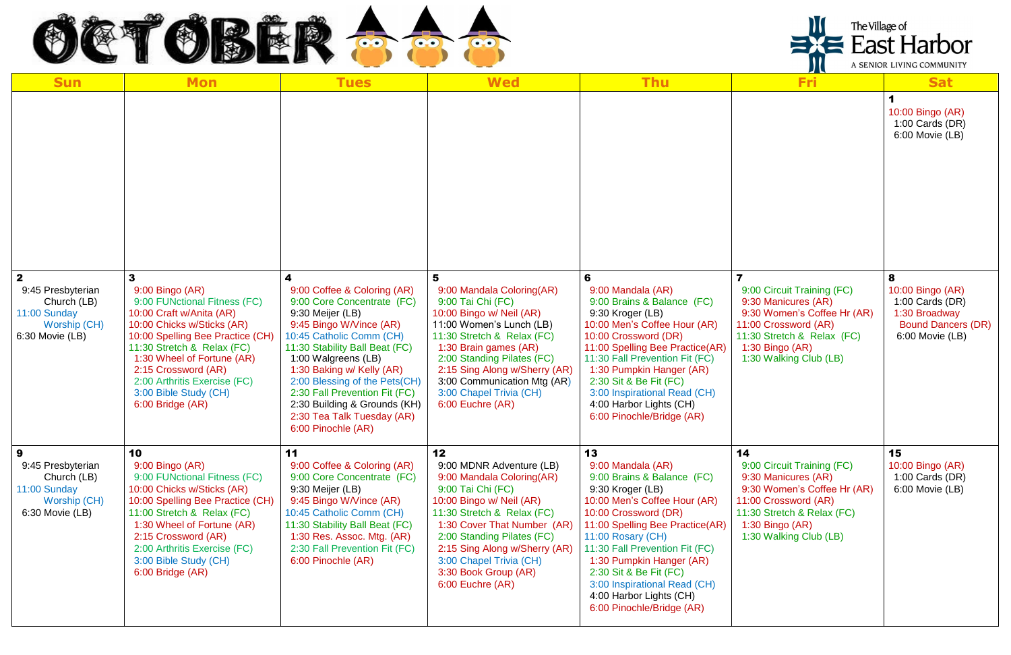

| <b>Sun</b>                                                                                          | <b>Mon</b>                                                                                                                                                                                                                                                                                                    | <b>Tues</b>                                                                                                                                                                                                                                                                                                                                                                           | <b>Wed</b>                                                                                                                                                                                                                                                                                                      | <b>Thu</b>                                                                                                                                                                                                                                                                                                                                                                | ИV.<br><b>Fri</b>                                                                                                                                                                           | <b>Sat</b>                                                                                                  |
|-----------------------------------------------------------------------------------------------------|---------------------------------------------------------------------------------------------------------------------------------------------------------------------------------------------------------------------------------------------------------------------------------------------------------------|---------------------------------------------------------------------------------------------------------------------------------------------------------------------------------------------------------------------------------------------------------------------------------------------------------------------------------------------------------------------------------------|-----------------------------------------------------------------------------------------------------------------------------------------------------------------------------------------------------------------------------------------------------------------------------------------------------------------|---------------------------------------------------------------------------------------------------------------------------------------------------------------------------------------------------------------------------------------------------------------------------------------------------------------------------------------------------------------------------|---------------------------------------------------------------------------------------------------------------------------------------------------------------------------------------------|-------------------------------------------------------------------------------------------------------------|
|                                                                                                     |                                                                                                                                                                                                                                                                                                               |                                                                                                                                                                                                                                                                                                                                                                                       |                                                                                                                                                                                                                                                                                                                 |                                                                                                                                                                                                                                                                                                                                                                           |                                                                                                                                                                                             | 10:00 Bingo (AR)<br>1:00 Cards $(DR)$<br>6:00 Movie (LB)                                                    |
| $\mathbf{2}$<br>9:45 Presbyterian<br>Church (LB)<br>11:00 Sunday<br>Worship (CH)<br>6:30 Movie (LB) | 9:00 Bingo (AR)<br>9:00 FUNctional Fitness (FC)<br>10:00 Craft w/Anita (AR)<br>10:00 Chicks w/Sticks (AR)<br>10:00 Spelling Bee Practice (CH)<br>11:30 Stretch & Relax (FC)<br>1:30 Wheel of Fortune (AR)<br>2:15 Crossword (AR)<br>2:00 Arthritis Exercise (FC)<br>3:00 Bible Study (CH)<br>6:00 Bridge (AR) | 4<br>9:00 Coffee & Coloring (AR)<br>9:00 Core Concentrate (FC)<br>9:30 Meijer (LB)<br>9:45 Bingo W/Vince (AR)<br>10:45 Catholic Comm (CH)<br>11:30 Stability Ball Beat (FC)<br>1:00 Walgreens (LB)<br>1:30 Baking w/ Kelly (AR)<br>2:00 Blessing of the Pets(CH)<br>2:30 Fall Prevention Fit (FC)<br>2:30 Building & Grounds (KH)<br>2:30 Tea Talk Tuesday (AR)<br>6:00 Pinochle (AR) | 5<br>9:00 Mandala Coloring(AR)<br>9:00 Tai Chi (FC)<br>10:00 Bingo w/ Neil (AR)<br>11:00 Women's Lunch (LB)<br>11:30 Stretch & Relax (FC)<br>1:30 Brain games (AR)<br>2:00 Standing Pilates (FC)<br>2:15 Sing Along w/Sherry (AR)<br>3:00 Communication Mtg (AR)<br>3:00 Chapel Trivia (CH)<br>6:00 Euchre (AR) | 6<br>9:00 Mandala (AR)<br>9:00 Brains & Balance (FC)<br>9:30 Kroger (LB)<br>10:00 Men's Coffee Hour (AR)<br>10:00 Crossword (DR)<br>11:00 Spelling Bee Practice(AR)<br>11:30 Fall Prevention Fit (FC)<br>1:30 Pumpkin Hanger (AR)<br>2:30 Sit & Be Fit (FC)<br>3:00 Inspirational Read (CH)<br>4:00 Harbor Lights (CH)<br>6:00 Pinochle/Bridge (AR)                       | 9:00 Circuit Training (FC)<br>9:30 Manicures (AR)<br>9:30 Women's Coffee Hr (AR)<br>11:00 Crossword (AR)<br>11:30 Stretch & Relax (FC)<br>$1:30$ Bingo (AR)<br>1:30 Walking Club (LB)       | 8<br>10:00 Bingo (AR)<br>$1:00$ Cards (DR)<br>1:30 Broadway<br><b>Bound Dancers (DR)</b><br>6:00 Movie (LB) |
| 9<br>9:45 Presbyterian<br>Church (LB)<br>11:00 Sunday<br>Worship (CH)<br>6:30 Movie (LB)            | 10<br>9:00 Bingo (AR)<br>9:00 FUNctional Fitness (FC)<br>10:00 Chicks w/Sticks (AR)<br>10:00 Spelling Bee Practice (CH)<br>11:00 Stretch & Relax (FC)<br>1:30 Wheel of Fortune (AR)<br>2:15 Crossword (AR)<br>2:00 Arthritis Exercise (FC)<br>3:00 Bible Study (CH)<br>6:00 Bridge (AR)                       | 11<br>9:00 Coffee & Coloring (AR)<br>9:00 Core Concentrate (FC)<br>9:30 Meijer (LB)<br>9:45 Bingo W/Vince (AR)<br>10:45 Catholic Comm (CH)<br>11:30 Stability Ball Beat (FC)<br>1:30 Res. Assoc. Mtg. (AR)<br>2:30 Fall Prevention Fit (FC)<br>6:00 Pinochle (AR)                                                                                                                     | 12<br>9:00 MDNR Adventure (LB)<br>9:00 Mandala Coloring(AR)<br>9:00 Tai Chi (FC)<br>10:00 Bingo w/ Neil (AR)<br>11:30 Stretch & Relax (FC)<br>1:30 Cover That Number (AR)<br>2:00 Standing Pilates (FC)<br>2:15 Sing Along w/Sherry (AR)<br>3:00 Chapel Trivia (CH)<br>3:30 Book Group (AR)<br>6:00 Euchre (AR) | 13<br>9:00 Mandala (AR)<br>9:00 Brains & Balance (FC)<br>9:30 Kroger (LB)<br>10:00 Men's Coffee Hour (AR)<br>10:00 Crossword (DR)<br>11:00 Spelling Bee Practice(AR)<br>11:00 Rosary (CH)<br>11:30 Fall Prevention Fit (FC)<br>1:30 Pumpkin Hanger (AR)<br>2:30 Sit & Be Fit (FC)<br>3:00 Inspirational Read (CH)<br>4:00 Harbor Lights (CH)<br>6:00 Pinochle/Bridge (AR) | 14<br>9:00 Circuit Training (FC)<br>9:30 Manicures (AR)<br>9:30 Women's Coffee Hr (AR)<br>11:00 Crossword (AR)<br>11:30 Stretch & Relax (FC)<br>$1:30$ Bingo (AR)<br>1:30 Walking Club (LB) | 15<br>10:00 Bingo (AR)<br>1:00 Cards $(DR)$<br>6:00 Movie (LB)                                              |

The Village of<br>
East Harbor

A SENIOR LIVING COMMUNITY